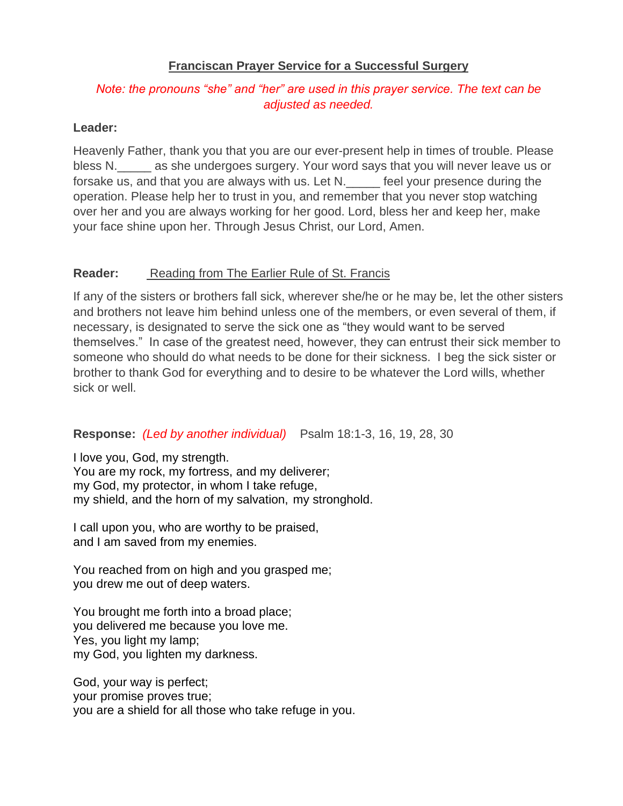# **Franciscan Prayer Service for a Successful Surgery**

# *Note: the pronouns "she" and "her" are used in this prayer service. The text can be adjusted as needed.*

## **Leader:**

Heavenly Father, thank you that you are our ever-present help in times of trouble. Please bless N.\_\_\_\_\_ as she undergoes surgery. Your word says that you will never leave us or forsake us, and that you are always with us. Let N. Feel your presence during the operation. Please help her to trust in you, and remember that you never stop watching over her and you are always working for her good. Lord, bless her and keep her, make your face shine upon her. Through Jesus Christ, our Lord, Amen.

### **Reader:** Reading from The Earlier Rule of St. Francis

If any of the sisters or brothers fall sick, wherever she/he or he may be, let the other sisters and brothers not leave him behind unless one of the members, or even several of them, if necessary, is designated to serve the sick one as "they would want to be served themselves." In case of the greatest need, however, they can entrust their sick member to someone who should do what needs to be done for their sickness. I beg the sick sister or brother to thank God for everything and to desire to be whatever the Lord wills, whether sick or well.

# **Response:** *(Led by another individual)* Psalm 18:1-3, 16, 19, 28, 30

I love you, God, my strength. You are my rock, my fortress, and my deliverer; my God, my protector, in whom I take refuge, my shield, and the horn of my salvation, my stronghold.

I call upon you, who are worthy to be praised, and I am saved from my enemies.

You reached from on high and you grasped me; you drew me out of deep waters.

You brought me forth into a broad place; you delivered me because you love me. Yes, you light my lamp; my God, you lighten my darkness.

God, your way is perfect; your promise proves true; you are a shield for all those who take refuge in you.